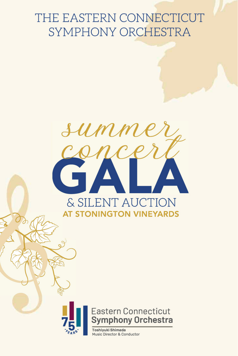# THE EASTERN CONNECTICUT SYMPHONY ORCHESTRA





**Toshiyuki Shimada** Music Director & Conductor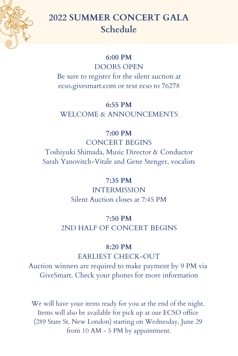

# **2022 SUMMER CONCERT GALA Schedule**

#### **6:00 PM**

DOORS OPEN Be sure to register for the silent auction at ecso.givesmart.com or text ecso to 76278

## **6:55 PM**

WELCOME & ANNOUNCEMENTS

### **7:00 PM**

CONCERT BEGINS Toshiyuki Shimada, Music Director & Conductor Sarah Yanovitch-Vitale and Gene Stenger, vocalists

# **7:35 PM**

INTERMISSION Silent Auction closes at 7:45 PM

# 7**:50 PM** 2ND HALF OF CONCERT BEGINS

# **8:20 PM**

EARLIEST CHECK-OUT

Auction winners are required to make payment by 9 PM via GiveSmart. Check your phones for more information

We will have your items ready for you at the end of the night. Items will also be available for pick up at our ECSO office (289 State St. New London) starting on Wednesday, June 29 from 10 AM - 5 PM by appointment.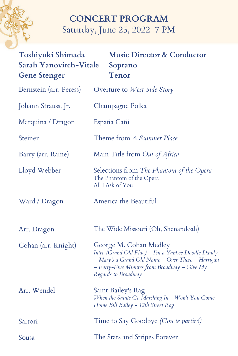# **CONCERT PROGRAM** Saturday, June 25, 2022 7 PM

| Toshiyuki Shimada<br><b>Sarah Yanovitch-Vitale</b><br><b>Gene Stenger</b> | <b>Music Director &amp; Conductor</b><br>Soprano<br>Tenor                                                                                                                                                    |
|---------------------------------------------------------------------------|--------------------------------------------------------------------------------------------------------------------------------------------------------------------------------------------------------------|
| Bernstein (arr. Peress)                                                   | Overture to <i>West Side Story</i>                                                                                                                                                                           |
| Johann Strauss, Jr.                                                       | Champagne Polka                                                                                                                                                                                              |
| Marquina / Dragon                                                         | España Cañí                                                                                                                                                                                                  |
| Steiner                                                                   | Theme from A Summer Place                                                                                                                                                                                    |
| Barry (arr. Raine)                                                        | Main Title from Out of Africa                                                                                                                                                                                |
| Lloyd Webber                                                              | Selections from The Phantom of the Opera<br>The Phantom of the Opera<br>All I Ask of You                                                                                                                     |
| Ward / Dragon                                                             | America the Beautiful                                                                                                                                                                                        |
| Arr. Dragon                                                               | The Wide Missouri (Oh, Shenandoah)                                                                                                                                                                           |
| Cohan (arr. Knight)                                                       | George M. Cohan Medley<br>Intro (Grand Old Flag) – I'm a Yankee Doodle Dandy<br>- Mary's a Grand Old Name - Over There - Harrigan<br>$-$ Forty-Five Minutes from Broadway $-$ Give My<br>Regards to Broadway |
| Arr. Wendel                                                               | Saint Bailey's Rag<br>When the Saints Go Marching In - Won't You Come<br>Home Bill Bailey - 12th Street Rag                                                                                                  |
| Sartori                                                                   | Time to Say Goodbye <i>(Con te partiró)</i>                                                                                                                                                                  |
| Sousa                                                                     | The Stars and Stripes Forever                                                                                                                                                                                |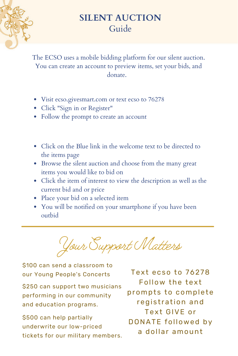

# **SILENT AUCTION** Guide

The ECSO uses a mobile bidding platform for our silent auction. You can create an account to preview items, set your bids, and donate.

- Visit ecso.givesmart.com or text ecso to 76278
- Click "Sign in or Register"
- Follow the prompt to create an account
- Click on the Blue link in the welcome text to be directed to the items page
- Browse the silent auction and choose from the many great items you would like to bid on
- Click the item of interest to view the description as well as the current bid and or price
- Place your bid on a selected item
- You will be notified on your smartphone if you have been outbid

Your Support Matters

\$100 can send a classroom to our Young People's Concerts Text ecso to 76278

\$250 can support two musicians performing in our community and education programs.

\$500 can help partially underwrite our low-priced tickets for our military members.

Follow the text prompts to complete registration and Text GIVE or DONATE followed by a dollar amount